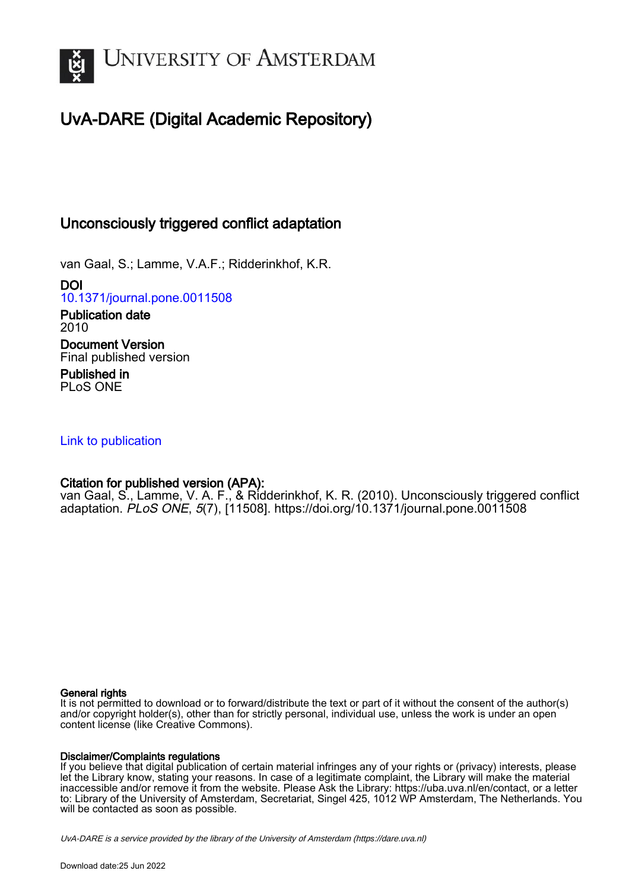

# UvA-DARE (Digital Academic Repository)

# Unconsciously triggered conflict adaptation

van Gaal, S.; Lamme, V.A.F.; Ridderinkhof, K.R.

DOI [10.1371/journal.pone.0011508](https://doi.org/10.1371/journal.pone.0011508)

Publication date 2010 Document Version Final published version Published in PLoS ONE

# [Link to publication](https://dare.uva.nl/personal/pure/en/publications/unconsciously-triggered-conflict-adaptation(045e309b-6381-481e-9442-086a35c7fb1f).html)

# Citation for published version (APA):

van Gaal, S., Lamme, V. A. F., & Ridderinkhof, K. R. (2010). Unconsciously triggered conflict adaptation. PLoS ONE, 5(7), [11508]. <https://doi.org/10.1371/journal.pone.0011508>

## General rights

It is not permitted to download or to forward/distribute the text or part of it without the consent of the author(s) and/or copyright holder(s), other than for strictly personal, individual use, unless the work is under an open content license (like Creative Commons).

## Disclaimer/Complaints regulations

If you believe that digital publication of certain material infringes any of your rights or (privacy) interests, please let the Library know, stating your reasons. In case of a legitimate complaint, the Library will make the material inaccessible and/or remove it from the website. Please Ask the Library: https://uba.uva.nl/en/contact, or a letter to: Library of the University of Amsterdam, Secretariat, Singel 425, 1012 WP Amsterdam, The Netherlands. You will be contacted as soon as possible.

UvA-DARE is a service provided by the library of the University of Amsterdam (http*s*://dare.uva.nl)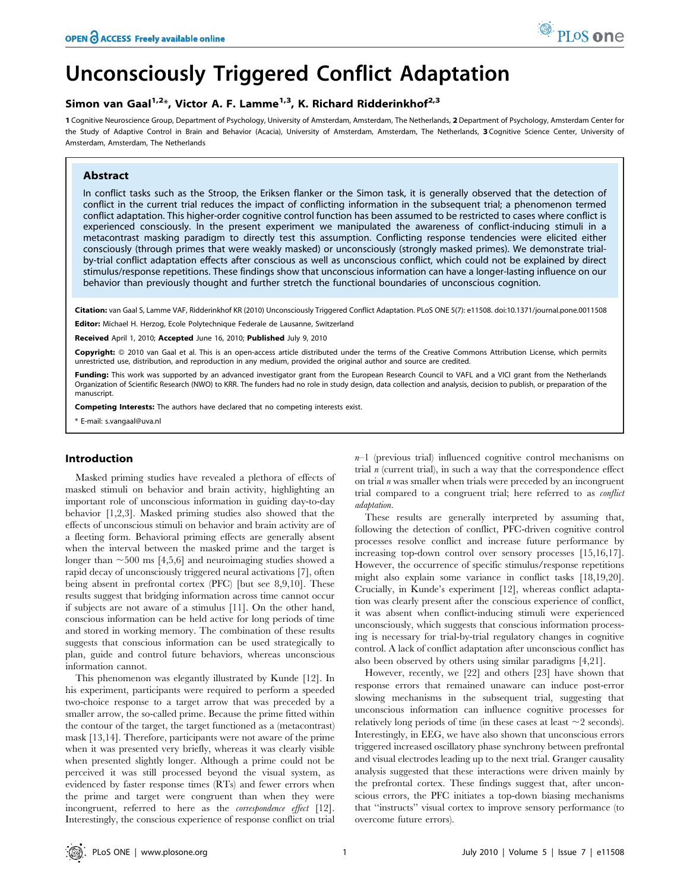# Unconsciously Triggered Conflict Adaptation

## Simon van Gaal<sup>1,2\*</sup>, Victor A. F. Lamme<sup>1,3</sup>, K. Richard Ridderinkhof<sup>2,3</sup>

1 Cognitive Neuroscience Group, Department of Psychology, University of Amsterdam, Amsterdam, The Netherlands, 2 Department of Psychology, Amsterdam Center for the Study of Adaptive Control in Brain and Behavior (Acacia), University of Amsterdam, Amsterdam, The Netherlands, 3 Cognitive Science Center, University of Amsterdam, Amsterdam, The Netherlands

#### Abstract

In conflict tasks such as the Stroop, the Eriksen flanker or the Simon task, it is generally observed that the detection of conflict in the current trial reduces the impact of conflicting information in the subsequent trial; a phenomenon termed conflict adaptation. This higher-order cognitive control function has been assumed to be restricted to cases where conflict is experienced consciously. In the present experiment we manipulated the awareness of conflict-inducing stimuli in a metacontrast masking paradigm to directly test this assumption. Conflicting response tendencies were elicited either consciously (through primes that were weakly masked) or unconsciously (strongly masked primes). We demonstrate trialby-trial conflict adaptation effects after conscious as well as unconscious conflict, which could not be explained by direct stimulus/response repetitions. These findings show that unconscious information can have a longer-lasting influence on our behavior than previously thought and further stretch the functional boundaries of unconscious cognition.

Citation: van Gaal S, Lamme VAF, Ridderinkhof KR (2010) Unconsciously Triggered Conflict Adaptation. PLoS ONE 5(7): e11508. doi:10.1371/journal.pone.0011508

Editor: Michael H. Herzog, Ecole Polytechnique Federale de Lausanne, Switzerland

Received April 1, 2010; Accepted June 16, 2010; Published July 9, 2010

**Copyright:** © 2010 van Gaal et al. This is an open-access article distributed under the terms of the Creative Commons Attribution License, which permits unrestricted use, distribution, and reproduction in any medium, provided the original author and source are credited.

Funding: This work was supported by an advanced investigator grant from the European Research Council to VAFL and a VICI grant from the Netherlands Organization of Scientific Research (NWO) to KRR. The funders had no role in study design, data collection and analysis, decision to publish, or preparation of the manuscript.

Competing Interests: The authors have declared that no competing interests exist.

\* E-mail: s.vangaal@uva.nl

### Introduction

Masked priming studies have revealed a plethora of effects of masked stimuli on behavior and brain activity, highlighting an important role of unconscious information in guiding day-to-day behavior [1,2,3]. Masked priming studies also showed that the effects of unconscious stimuli on behavior and brain activity are of a fleeting form. Behavioral priming effects are generally absent when the interval between the masked prime and the target is longer than  $\sim$  500 ms [4,5,6] and neuroimaging studies showed a rapid decay of unconsciously triggered neural activations [7], often being absent in prefrontal cortex (PFC) [but see 8,9,10]. These results suggest that bridging information across time cannot occur if subjects are not aware of a stimulus [11]. On the other hand, conscious information can be held active for long periods of time and stored in working memory. The combination of these results suggests that conscious information can be used strategically to plan, guide and control future behaviors, whereas unconscious information cannot.

This phenomenon was elegantly illustrated by Kunde [12]. In his experiment, participants were required to perform a speeded two-choice response to a target arrow that was preceded by a smaller arrow, the so-called prime. Because the prime fitted within the contour of the target, the target functioned as a (metacontrast) mask [13,14]. Therefore, participants were not aware of the prime when it was presented very briefly, whereas it was clearly visible when presented slightly longer. Although a prime could not be perceived it was still processed beyond the visual system, as evidenced by faster response times (RTs) and fewer errors when the prime and target were congruent than when they were incongruent, referred to here as the correspondence effect [12]. Interestingly, the conscious experience of response conflict on trial  $n-1$  (previous trial) influenced cognitive control mechanisms on trial  $n$  (current trial), in such a way that the correspondence effect on trial  $n$  was smaller when trials were preceded by an incongruent trial compared to a congruent trial; here referred to as conflict adaptation.

These results are generally interpreted by assuming that, following the detection of conflict, PFC-driven cognitive control processes resolve conflict and increase future performance by increasing top-down control over sensory processes [15,16,17]. However, the occurrence of specific stimulus/response repetitions might also explain some variance in conflict tasks [18,19,20]. Crucially, in Kunde's experiment [12], whereas conflict adaptation was clearly present after the conscious experience of conflict, it was absent when conflict-inducing stimuli were experienced unconsciously, which suggests that conscious information processing is necessary for trial-by-trial regulatory changes in cognitive control. A lack of conflict adaptation after unconscious conflict has also been observed by others using similar paradigms [4,21].

However, recently, we [22] and others [23] have shown that response errors that remained unaware can induce post-error slowing mechanisms in the subsequent trial, suggesting that unconscious information can influence cognitive processes for relatively long periods of time (in these cases at least  $\sim$  2 seconds). Interestingly, in EEG, we have also shown that unconscious errors triggered increased oscillatory phase synchrony between prefrontal and visual electrodes leading up to the next trial. Granger causality analysis suggested that these interactions were driven mainly by the prefrontal cortex. These findings suggest that, after unconscious errors, the PFC initiates a top-down biasing mechanisms that ''instructs'' visual cortex to improve sensory performance (to overcome future errors).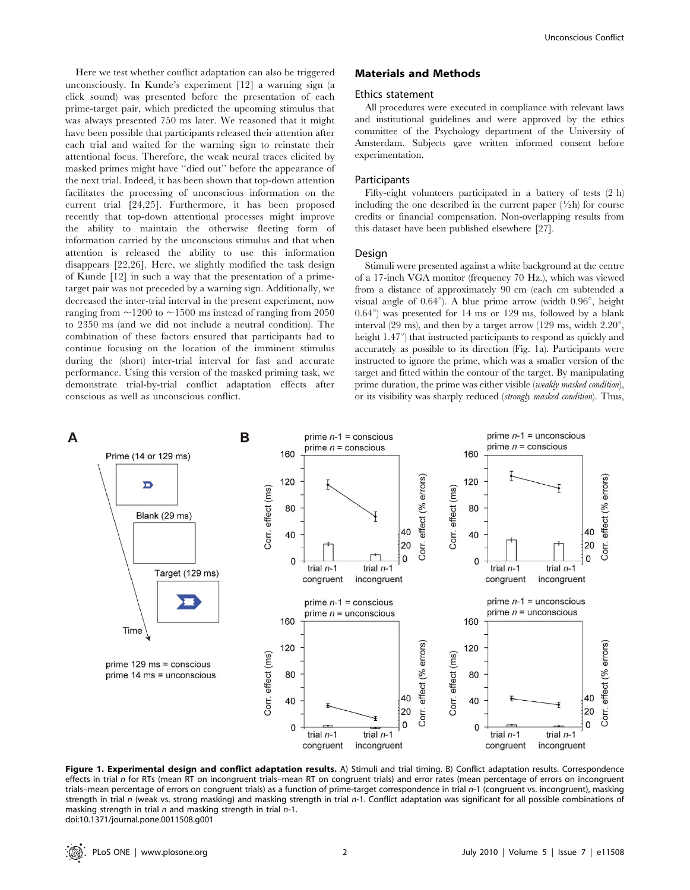Here we test whether conflict adaptation can also be triggered unconsciously. In Kunde's experiment [12] a warning sign (a click sound) was presented before the presentation of each prime-target pair, which predicted the upcoming stimulus that was always presented 750 ms later. We reasoned that it might have been possible that participants released their attention after each trial and waited for the warning sign to reinstate their attentional focus. Therefore, the weak neural traces elicited by masked primes might have ''died out'' before the appearance of the next trial. Indeed, it has been shown that top-down attention facilitates the processing of unconscious information on the current trial [24,25]. Furthermore, it has been proposed recently that top-down attentional processes might improve the ability to maintain the otherwise fleeting form of information carried by the unconscious stimulus and that when attention is released the ability to use this information disappears [22,26]. Here, we slightly modified the task design of Kunde [12] in such a way that the presentation of a primetarget pair was not preceded by a warning sign. Additionally, we decreased the inter-trial interval in the present experiment, now ranging from  $\sim$ 1200 to  $\sim$ 1500 ms instead of ranging from 2050 to 2350 ms (and we did not include a neutral condition). The combination of these factors ensured that participants had to continue focusing on the location of the imminent stimulus during the (short) inter-trial interval for fast and accurate performance. Using this version of the masked priming task, we demonstrate trial-by-trial conflict adaptation effects after conscious as well as unconscious conflict.

#### Materials and Methods

#### Ethics statement

All procedures were executed in compliance with relevant laws and institutional guidelines and were approved by the ethics committee of the Psychology department of the University of Amsterdam. Subjects gave written informed consent before experimentation.

#### Participants

Fifty-eight volunteers participated in a battery of tests (2 h) including the one described in the current paper  $(\frac{1}{2}h)$  for course credits or financial compensation. Non-overlapping results from this dataset have been published elsewhere [27].

#### Design

Stimuli were presented against a white background at the centre of a 17-inch VGA monitor (frequency 70 Hz.), which was viewed from a distance of approximately 90 cm (each cm subtended a visual angle of  $0.64^{\circ}$ ). A blue prime arrow (width  $0.96^{\circ}$ , height  $0.64^{\circ}$ ) was presented for 14 ms or 129 ms, followed by a blank interval (29 ms), and then by a target arrow (129 ms, width  $2.20^{\circ}$ , height  $1.47^{\circ}$ ) that instructed participants to respond as quickly and accurately as possible to its direction (Fig. 1a). Participants were instructed to ignore the prime, which was a smaller version of the target and fitted within the contour of the target. By manipulating prime duration, the prime was either visible (weakly masked condition), or its visibility was sharply reduced (strongly masked condition). Thus,



Figure 1. Experimental design and conflict adaptation results. A) Stimuli and trial timing. B) Conflict adaptation results. Correspondence effects in trial n for RTs (mean RT on incongruent trials-mean RT on congruent trials) and error rates (mean percentage of errors on incongruent trials–mean percentage of errors on congruent trials) as a function of prime-target correspondence in trial n-1 (congruent vs. incongruent), masking strength in trial n (weak vs. strong masking) and masking strength in trial n-1. Conflict adaptation was significant for all possible combinations of masking strength in trial  $n$  and masking strength in trial  $n-1$ . doi:10.1371/journal.pone.0011508.g001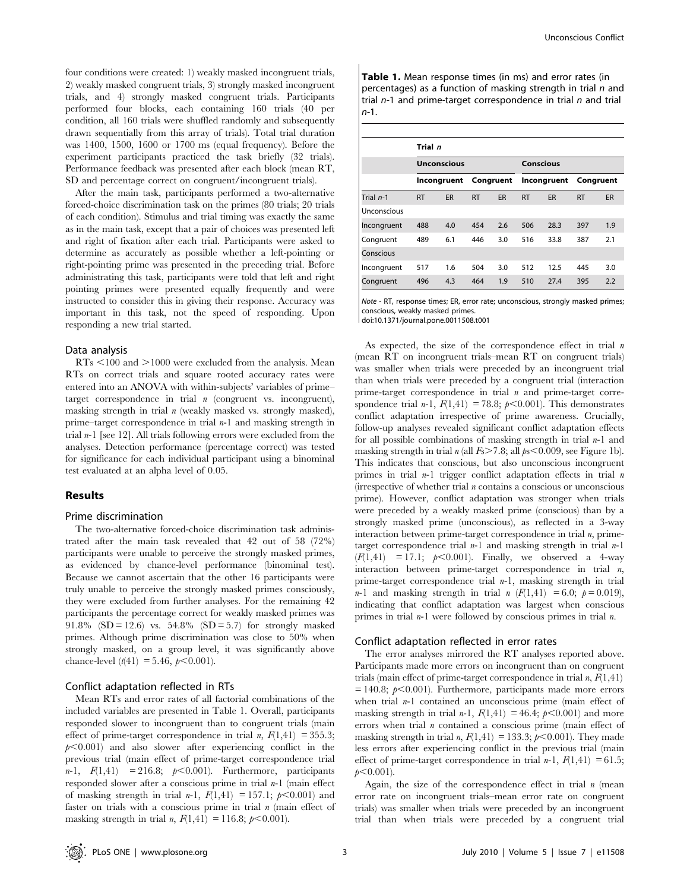four conditions were created: 1) weakly masked incongruent trials, 2) weakly masked congruent trials, 3) strongly masked incongruent trials, and 4) strongly masked congruent trials. Participants performed four blocks, each containing 160 trials (40 per condition, all 160 trials were shuffled randomly and subsequently drawn sequentially from this array of trials). Total trial duration was 1400, 1500, 1600 or 1700 ms (equal frequency). Before the experiment participants practiced the task briefly (32 trials). Performance feedback was presented after each block (mean RT, SD and percentage correct on congruent/incongruent trials).

After the main task, participants performed a two-alternative forced-choice discrimination task on the primes (80 trials; 20 trials of each condition). Stimulus and trial timing was exactly the same as in the main task, except that a pair of choices was presented left and right of fixation after each trial. Participants were asked to determine as accurately as possible whether a left-pointing or right-pointing prime was presented in the preceding trial. Before administrating this task, participants were told that left and right pointing primes were presented equally frequently and were instructed to consider this in giving their response. Accuracy was important in this task, not the speed of responding. Upon responding a new trial started.

#### Data analysis

 $RTs$  <100 and >1000 were excluded from the analysis. Mean RTs on correct trials and square rooted accuracy rates were entered into an ANOVA with within-subjects' variables of prime– target correspondence in trial n (congruent vs. incongruent), masking strength in trial  $n$  (weakly masked vs. strongly masked), prime–target correspondence in trial  $n-1$  and masking strength in trial  $n-1$  [see 12]. All trials following errors were excluded from the analyses. Detection performance (percentage correct) was tested for significance for each individual participant using a binominal test evaluated at an alpha level of 0.05.

#### Results

#### Prime discrimination

The two-alternative forced-choice discrimination task administrated after the main task revealed that 42 out of 58 (72%) participants were unable to perceive the strongly masked primes, as evidenced by chance-level performance (binominal test). Because we cannot ascertain that the other 16 participants were truly unable to perceive the strongly masked primes consciously, they were excluded from further analyses. For the remaining 42 participants the percentage correct for weakly masked primes was 91.8% (SD = 12.6) vs. 54.8% (SD = 5.7) for strongly masked primes. Although prime discrimination was close to 50% when strongly masked, on a group level, it was significantly above chance-level  $(t(41) = 5.46, p<0.001)$ .

#### Conflict adaptation reflected in RTs

Mean RTs and error rates of all factorial combinations of the included variables are presented in Table 1. Overall, participants responded slower to incongruent than to congruent trials (main effect of prime-target correspondence in trial  $n$ ,  $F(1,41) = 355.3$ ;  $p<0.001$  and also slower after experiencing conflict in the previous trial (main effect of prime-target correspondence trial  $n-1$ ,  $F(1,41) = 216.8$ ;  $p<0.001$ ). Furthermore, participants responded slower after a conscious prime in trial  $n-1$  (main effect of masking strength in trial n-1,  $F(1,41) = 157.1$ ;  $p \le 0.001$  and faster on trials with a conscious prime in trial  $n$  (main effect of masking strength in trial *n*,  $F(1,41) = 116.8; p < 0.001$ .

Table 1. Mean response times (in ms) and error rates (in percentages) as a function of masking strength in trial  $n$  and trial  $n-1$  and prime-target correspondence in trial  $n$  and trial n-1.

|             | Trial n            |             |           |     |             |      |           |     |
|-------------|--------------------|-------------|-----------|-----|-------------|------|-----------|-----|
|             | <b>Unconscious</b> |             |           |     | Conscious   |      |           |     |
|             |                    | Incongruent | Congruent |     | Incongruent |      | Congruent |     |
| Trial $n-1$ | <b>RT</b>          | ER          | <b>RT</b> | ER  | <b>RT</b>   | ER   | <b>RT</b> | ER  |
| Unconscious |                    |             |           |     |             |      |           |     |
| Incongruent | 488                | 4.0         | 454       | 2.6 | 506         | 28.3 | 397       | 1.9 |
| Congruent   | 489                | 6.1         | 446       | 3.0 | 516         | 33.8 | 387       | 2.1 |
| Conscious   |                    |             |           |     |             |      |           |     |
| Incongruent | 517                | 1.6         | 504       | 3.0 | 512         | 12.5 | 445       | 3.0 |
| Congruent   | 496                | 4.3         | 464       | 1.9 | 510         | 27.4 | 395       | 2.2 |

Note - RT, response times; ER, error rate; unconscious, strongly masked primes; conscious, weakly masked primes.

doi:10.1371/journal.pone.0011508.t001

As expected, the size of the correspondence effect in trial  $n$ (mean RT on incongruent trials–mean RT on congruent trials) was smaller when trials were preceded by an incongruent trial than when trials were preceded by a congruent trial (interaction prime-target correspondence in trial  $n$  and prime-target correspondence trial  $n-1$ ,  $F(1,41) = 78.8$ ;  $p<0.001$ ). This demonstrates conflict adaptation irrespective of prime awareness. Crucially, follow-up analyses revealed significant conflict adaptation effects for all possible combinations of masking strength in trial  $n-1$  and masking strength in trial  $n$  (all  $Fs > 7.8$ ; all  $ps < 0.009$ , see Figure 1b). This indicates that conscious, but also unconscious incongruent primes in trial  $n-1$  trigger conflict adaptation effects in trial  $n$  $($ irrespective of whether trial  $n$  contains a conscious or unconscious prime). However, conflict adaptation was stronger when trials were preceded by a weakly masked prime (conscious) than by a strongly masked prime (unconscious), as reflected in a 3-way interaction between prime-target correspondence in trial  $n$ , primetarget correspondence trial  $n-1$  and masking strength in trial  $n-1$  $(F(1, 41) = 17.1; p<0.001)$ . Finally, we observed a 4-way interaction between prime-target correspondence in trial  $n$ , prime-target correspondence trial  $n-1$ , masking strength in trial  $n-1$  and masking strength in trial  $n(F(1,41) = 6.0; p = 0.019)$ , indicating that conflict adaptation was largest when conscious primes in trial  $n-1$  were followed by conscious primes in trial  $n$ .

#### Conflict adaptation reflected in error rates

The error analyses mirrored the RT analyses reported above. Participants made more errors on incongruent than on congruent trials (main effect of prime-target correspondence in trial  $n, F(1, 41)$ )  $= 140.8$ ;  $p<0.001$ ). Furthermore, participants made more errors when trial  $n-1$  contained an unconscious prime (main effect of masking strength in trial  $n-1$ ,  $F(1,41) = 46.4$ ;  $p<0.001$ ) and more errors when trial  $n$  contained a conscious prime (main effect of masking strength in trial n,  $F(1,41) = 133.3$ ;  $p<0.001$ ). They made less errors after experiencing conflict in the previous trial (main effect of prime-target correspondence in trial  $n-1$ ,  $F(1,41) = 61.5$ ;  $p<0.001$ ).

Again, the size of the correspondence effect in trial  $n$  (mean error rate on incongruent trials–mean error rate on congruent trials) was smaller when trials were preceded by an incongruent trial than when trials were preceded by a congruent trial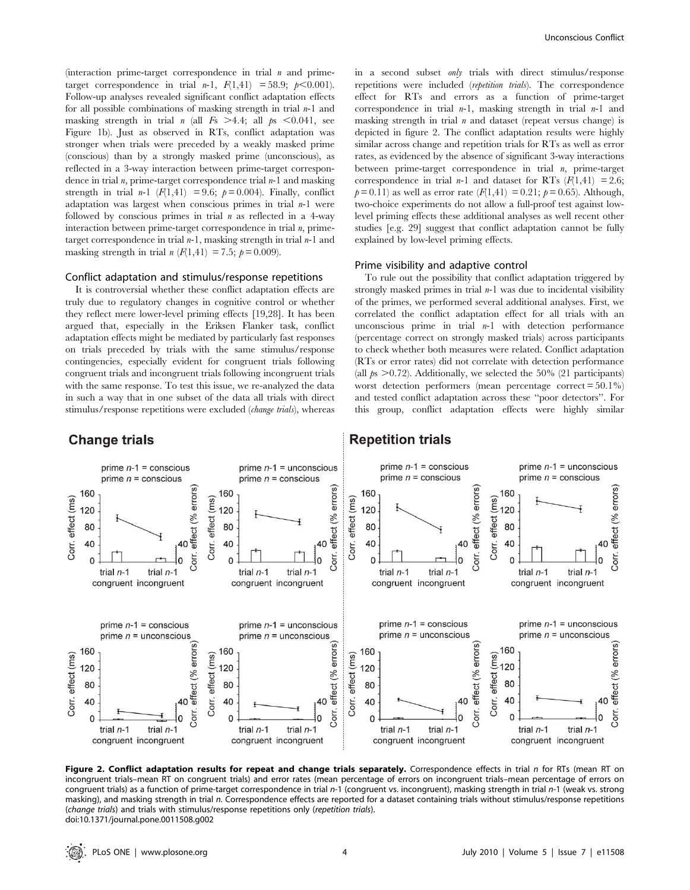(interaction prime-target correspondence in trial  $n$  and primetarget correspondence in trial  $n-1$ ,  $F(1,41) = 58.9$ ;  $p<0.001$ ). Follow-up analyses revealed significant conflict adaptation effects for all possible combinations of masking strength in trial  $n-1$  and masking strength in trial *n* (all  $F_s > 4.4$ ; all  $p_s < 0.041$ , see Figure 1b). Just as observed in RTs, conflict adaptation was stronger when trials were preceded by a weakly masked prime (conscious) than by a strongly masked prime (unconscious), as reflected in a 3-way interaction between prime-target correspondence in trial  $n$ , prime-target correspondence trial  $n-1$  and masking strength in trial *n*-1  $(F(1,41) = 9.6; p=0.004)$ . Finally, conflict adaptation was largest when conscious primes in trial  $n-1$  were followed by conscious primes in trial  $n$  as reflected in a 4-way interaction between prime-target correspondence in trial  $n$ , primetarget correspondence in trial  $n-1$ , masking strength in trial  $n-1$  and masking strength in trial  $n (F(1, 41) = 7.5; p = 0.009)$ .

#### Conflict adaptation and stimulus/response repetitions

It is controversial whether these conflict adaptation effects are truly due to regulatory changes in cognitive control or whether they reflect mere lower-level priming effects [19,28]. It has been argued that, especially in the Eriksen Flanker task, conflict adaptation effects might be mediated by particularly fast responses on trials preceded by trials with the same stimulus/response contingencies, especially evident for congruent trials following congruent trials and incongruent trials following incongruent trials with the same response. To test this issue, we re-analyzed the data in such a way that in one subset of the data all trials with direct stimulus/response repetitions were excluded (change trials), whereas

in a second subset only trials with direct stimulus/response repetitions were included (repetition trials). The correspondence effect for RTs and errors as a function of prime-target correspondence in trial  $n-1$ , masking strength in trial  $n-1$  and masking strength in trial  $n$  and dataset (repeat versus change) is depicted in figure 2. The conflict adaptation results were highly similar across change and repetition trials for RTs as well as error rates, as evidenced by the absence of significant 3-way interactions between prime-target correspondence in trial  $n$ , prime-target correspondence in trial *n*-1 and dataset for RTs  $(F(1,41) = 2.6;$  $p= 0.11$ ) as well as error rate  $(F(1,41) = 0.21; p= 0.65)$ . Although, two-choice experiments do not allow a full-proof test against lowlevel priming effects these additional analyses as well recent other studies [e.g. 29] suggest that conflict adaptation cannot be fully explained by low-level priming effects.

#### Prime visibility and adaptive control

To rule out the possibility that conflict adaptation triggered by strongly masked primes in trial  $n-1$  was due to incidental visibility of the primes, we performed several additional analyses. First, we correlated the conflict adaptation effect for all trials with an unconscious prime in trial  $n-1$  with detection performance (percentage correct on strongly masked trials) across participants to check whether both measures were related. Conflict adaptation (RTs or error rates) did not correlate with detection performance (all  $p_s > 0.72$ ). Additionally, we selected the 50% (21 participants) worst detection performers (mean percentage correct  $= 50.1\%$ ) and tested conflict adaptation across these ''poor detectors''. For this group, conflict adaptation effects were highly similar



### **Repetition trials**



Figure 2. Conflict adaptation results for repeat and change trials separately. Correspondence effects in trial n for RTs (mean RT on incongruent trials–mean RT on congruent trials) and error rates (mean percentage of errors on incongruent trials–mean percentage of errors on congruent trials) as a function of prime-target correspondence in trial n-1 (congruent vs. incongruent), masking strength in trial n-1 (weak vs. strong masking), and masking strength in trial n. Correspondence effects are reported for a dataset containing trials without stimulus/response repetitions (change trials) and trials with stimulus/response repetitions only (repetition trials). doi:10.1371/journal.pone.0011508.g002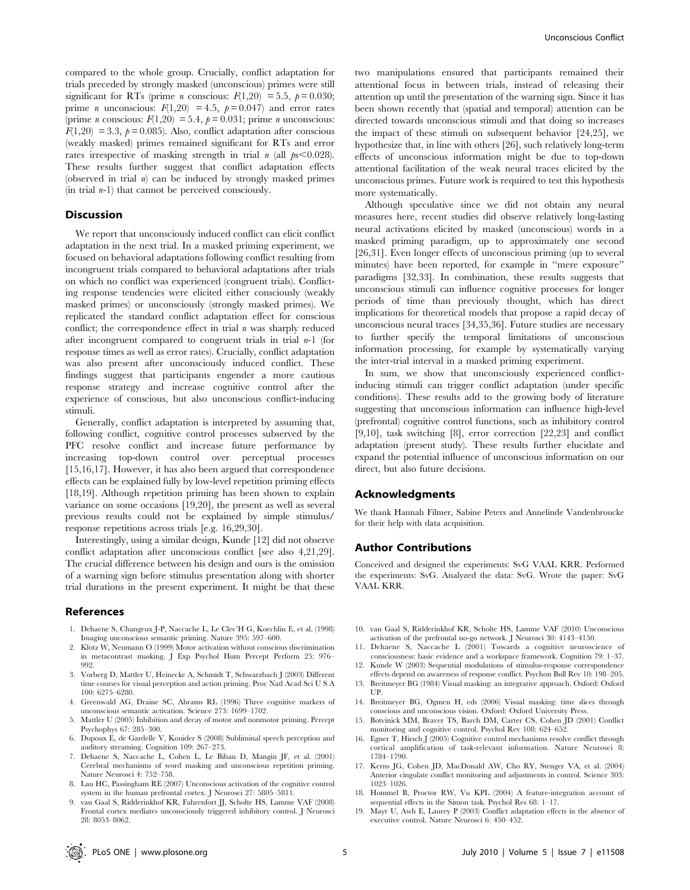compared to the whole group. Crucially, conflict adaptation for trials preceded by strongly masked (unconscious) primes were still significant for RTs (prime *n* conscious:  $F(1,20) = 5.5$ ,  $p = 0.030$ ; prime *n* unconscious:  $F(1,20) = 4.5$ ,  $p = 0.047$  and error rates (prime *n* conscious:  $F(1,20) = 5.4$ ,  $p = 0.031$ ; prime *n* unconscious:  $F(1,20) = 3.3$ ,  $p = 0.085$ ). Also, conflict adaptation after conscious (weakly masked) primes remained significant for RTs and error rates irrespective of masking strength in trial *n* (all  $ps \leq 0.028$ ). These results further suggest that conflict adaptation effects (observed in trial  $n$ ) can be induced by strongly masked primes (in trial  $n-1$ ) that cannot be perceived consciously.

#### Discussion

We report that unconsciously induced conflict can elicit conflict adaptation in the next trial. In a masked priming experiment, we focused on behavioral adaptations following conflict resulting from incongruent trials compared to behavioral adaptations after trials on which no conflict was experienced (congruent trials). Conflicting response tendencies were elicited either consciously (weakly masked primes) or unconsciously (strongly masked primes). We replicated the standard conflict adaptation effect for conscious conflict; the correspondence effect in trial  $n$  was sharply reduced after incongruent compared to congruent trials in trial  $n-1$  (for response times as well as error rates). Crucially, conflict adaptation was also present after unconsciously induced conflict. These findings suggest that participants engender a more cautious response strategy and increase cognitive control after the experience of conscious, but also unconscious conflict-inducing stimuli.

Generally, conflict adaptation is interpreted by assuming that, following conflict, cognitive control processes subserved by the PFC resolve conflict and increase future performance by increasing top-down control over perceptual processes [15,16,17]. However, it has also been argued that correspondence effects can be explained fully by low-level repetition priming effects [18,19]. Although repetition priming has been shown to explain variance on some occasions [19,20], the present as well as several previous results could not be explained by simple stimulus/ response repetitions across trials [e.g. 16,29,30].

Interestingly, using a similar design, Kunde [12] did not observe conflict adaptation after unconscious conflict [see also 4,21,29]. The crucial difference between his design and ours is the omission of a warning sign before stimulus presentation along with shorter trial durations in the present experiment. It might be that these

#### References

- 1. Dehaene S, Changeux J-P, Naccache L, Le Clec'H G, Koechlin E, et al. (1998) Imaging unconscious semantic priming. Nature 395: 597–600.
- 2. Klotz W, Neumann O (1999) Motor activation without conscious discrimination in metacontrast masking. J Exp Psychol Hum Percept Perform 25: 976– 992.
- 3. Vorberg D, Mattler U, Heinecke A, Schmidt T, Schwarzbach J (2003) Different time courses for visual perception and action priming. Proc Natl Acad Sci U S A 100: 6275–6280.
- 4. Greenwald AG, Draine SC, Abrams RL (1996) Three cognitive markers of unconscious semantic activation. Science 273: 1699–1702.
- 5. Mattler U (2005) Inhibition and decay of motor and nonmotor priming. Percept Psychophys 67: 285–300.
- 6. Dupoux E, de Gardelle V, Kouider S (2008) Subliminal speech perception and auditory streaming. Cognition 109: 267–273.
- 7. Dehaene S, Naccache L, Cohen L, Le Bihan D, Mangin JF, et al. (2001) Cerebral mechanisms of word masking and unconscious repetition priming. Nature Neurosci 4: 752–758.
- 8. Lau HC, Passingham RE (2007) Unconscious activation of the cognitive control system in the human prefrontal cortex. J Neurosci 27: 5805–5811.
- 9. van Gaal S, Ridderinkhof KR, Fahrenfort JJ, Scholte HS, Lamme VAF (2008) Frontal cortex mediates unconsciously triggered inhibitory control. J Neurosci 28: 8053–8062.

two manipulations ensured that participants remained their attentional focus in between trials, instead of releasing their attention up until the presentation of the warning sign. Since it has been shown recently that (spatial and temporal) attention can be directed towards unconscious stimuli and that doing so increases the impact of these stimuli on subsequent behavior [24,25], we hypothesize that, in line with others [26], such relatively long-term effects of unconscious information might be due to top-down attentional facilitation of the weak neural traces elicited by the unconscious primes. Future work is required to test this hypothesis more systematically.

Although speculative since we did not obtain any neural measures here, recent studies did observe relatively long-lasting neural activations elicited by masked (unconscious) words in a masked priming paradigm, up to approximately one second [26,31]. Even longer effects of unconscious priming (up to several minutes) have been reported, for example in ''mere exposure'' paradigms [32,33]. In combination, these results suggests that unconscious stimuli can influence cognitive processes for longer periods of time than previously thought, which has direct implications for theoretical models that propose a rapid decay of unconscious neural traces [34,35,36]. Future studies are necessary to further specify the temporal limitations of unconscious information processing, for example by systematically varying the inter-trial interval in a masked priming experiment.

In sum, we show that unconsciously experienced conflictinducing stimuli can trigger conflict adaptation (under specific conditions). These results add to the growing body of literature suggesting that unconscious information can influence high-level (prefrontal) cognitive control functions, such as inhibitory control [9,10], task switching [8], error correction [22,23] and conflict adaptation (present study). These results further elucidate and expand the potential influence of unconscious information on our direct, but also future decisions.

#### Acknowledgments

We thank Hannah Filmer, Sabine Peters and Annelinde Vandenbroucke for their help with data acquisition.

#### Author Contributions

Conceived and designed the experiments: SvG VAAL KRR. Performed the experiments: SvG. Analyzed the data: SvG. Wrote the paper: SvG VAAL KRR.

- 10. van Gaal S, Ridderinkhof KR, Scholte HS, Lamme VAF (2010) Unconscious activation of the prefrontal no-go network. J Neurosci 30: 4143–4150.
- 11. Dehaene S, Naccache L (2001) Towards a cognitive neuroscience of consciousness: basic evidence and a workspace framework. Cognition 79: 1–37.
- 12. Kunde W (2003) Sequential modulations of stimulus-response correspondence effects depend on awareness of response conflict. Psychon Bull Rev 10: 198–205.
- 13. Breitmeyer BG (1984) Visual masking: an integrative approach. Oxford: Oxford UP.
- 14. Breitmeyer BG, Ogmen H, eds (2006) Visual masking: time slices through conscious and unconscious vision. Oxford: Oxford University Press.
- 15. Botvinick MM, Braver TS, Barch DM, Carter CS, Cohen JD (2001) Conflict monitoring and cognitive control. Psychol Rev 108: 624–652.
- 16. Egner T, Hirsch J (2005) Cognitive control mechanisms resolve conflict through cortical amplification of task-relevant information. Nature Neurosci 8: 1784–1790.
- 17. Kerns JG, Cohen JD, MacDonald AW, Cho RY, Stenger VA, et al. (2004) Anterior cingulate conflict monitoring and adjustments in control. Science 303: 1023–1026.
- 18. Hommel B, Proctor RW, Vu KPL (2004) A feature-integration account of sequential effects in the Simon task. Psychol Res 68: 1–17.
- 19. Mayr U, Awh E, Laurey P (2003) Conflict adaptation effects in the absence of executive control. Nature Neurosci 6: 450–452.